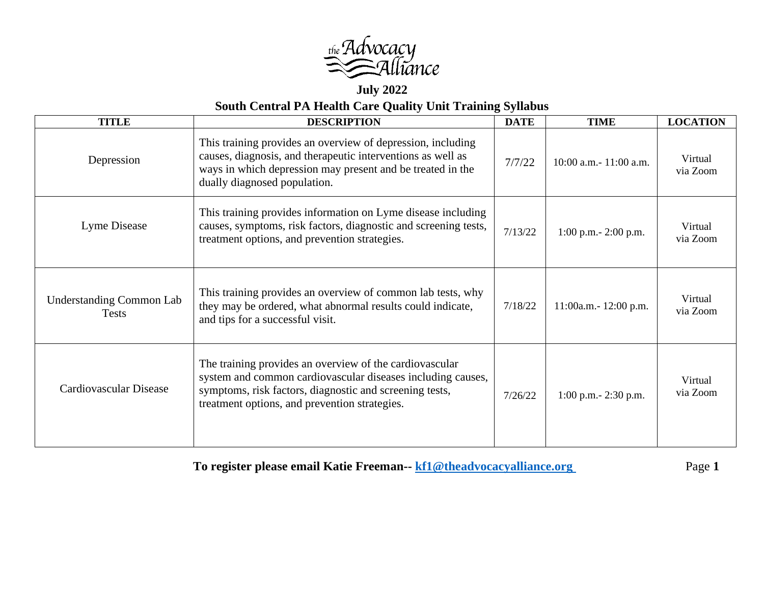

# **July 2022 South Central PA Health Care Quality Unit Training Syllabus**

| <b>TITLE</b>                                    | <b>DESCRIPTION</b>                                                                                                                                                                                                                 | <b>DATE</b> | <b>TIME</b>               | <b>LOCATION</b>     |
|-------------------------------------------------|------------------------------------------------------------------------------------------------------------------------------------------------------------------------------------------------------------------------------------|-------------|---------------------------|---------------------|
| Depression                                      | This training provides an overview of depression, including<br>causes, diagnosis, and therapeutic interventions as well as<br>ways in which depression may present and be treated in the<br>dually diagnosed population.           | 7/7/22      | 10:00 a.m.- 11:00 a.m.    | Virtual<br>via Zoom |
| Lyme Disease                                    | This training provides information on Lyme disease including<br>causes, symptoms, risk factors, diagnostic and screening tests,<br>treatment options, and prevention strategies.                                                   | 7/13/22     | 1:00 p.m. - 2:00 p.m.     | Virtual<br>via Zoom |
| <b>Understanding Common Lab</b><br><b>Tests</b> | This training provides an overview of common lab tests, why<br>they may be ordered, what abnormal results could indicate,<br>and tips for a successful visit.                                                                      | 7/18/22     | 11:00a.m.- 12:00 p.m.     | Virtual<br>via Zoom |
| <b>Cardiovascular Disease</b>                   | The training provides an overview of the cardiovascular<br>system and common cardiovascular diseases including causes,<br>symptoms, risk factors, diagnostic and screening tests,<br>treatment options, and prevention strategies. | 7/26/22     | $1:00$ p.m. $- 2:30$ p.m. | Virtual<br>via Zoom |

 **To register please email Katie Freeman-- [kf1@theadvocacyalliance.org](mailto:kf1@theadvocacyalliance.org)** Page 1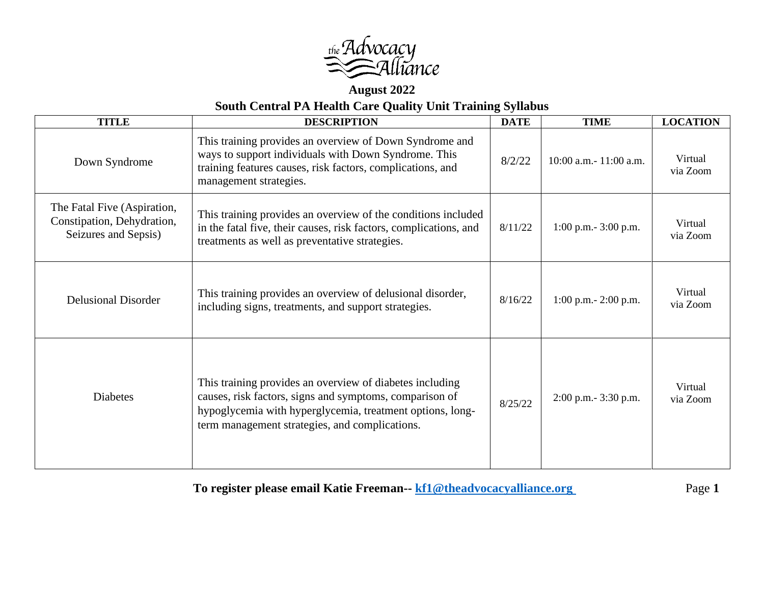

## **August 2022**

## **South Central PA Health Care Quality Unit Training Syllabus**

| <b>TITLE</b>                                                                      | <b>DESCRIPTION</b>                                                                                                                                                                                                                 | <b>DATE</b> | <b>TIME</b>               | <b>LOCATION</b>     |
|-----------------------------------------------------------------------------------|------------------------------------------------------------------------------------------------------------------------------------------------------------------------------------------------------------------------------------|-------------|---------------------------|---------------------|
| Down Syndrome                                                                     | This training provides an overview of Down Syndrome and<br>ways to support individuals with Down Syndrome. This<br>training features causes, risk factors, complications, and<br>management strategies.                            | 8/2/22      | 10:00 a.m. $-11:00$ a.m.  | Virtual<br>via Zoom |
| The Fatal Five (Aspiration,<br>Constipation, Dehydration,<br>Seizures and Sepsis) | This training provides an overview of the conditions included<br>in the fatal five, their causes, risk factors, complications, and<br>treatments as well as preventative strategies.                                               | 8/11/22     | $1:00$ p.m. $-3:00$ p.m.  | Virtual<br>via Zoom |
| <b>Delusional Disorder</b>                                                        | This training provides an overview of delusional disorder,<br>including signs, treatments, and support strategies.                                                                                                                 | 8/16/22     | $1:00$ p.m. $- 2:00$ p.m. | Virtual<br>via Zoom |
| <b>Diabetes</b>                                                                   | This training provides an overview of diabetes including<br>causes, risk factors, signs and symptoms, comparison of<br>hypoglycemia with hyperglycemia, treatment options, long-<br>term management strategies, and complications. | 8/25/22     | 2:00 p.m. - 3:30 p.m.     | Virtual<br>via Zoom |

 **To register please email Katie Freeman-- [kf1@theadvocacyalliance.org](mailto:kf1@theadvocacyalliance.org)** Page 1